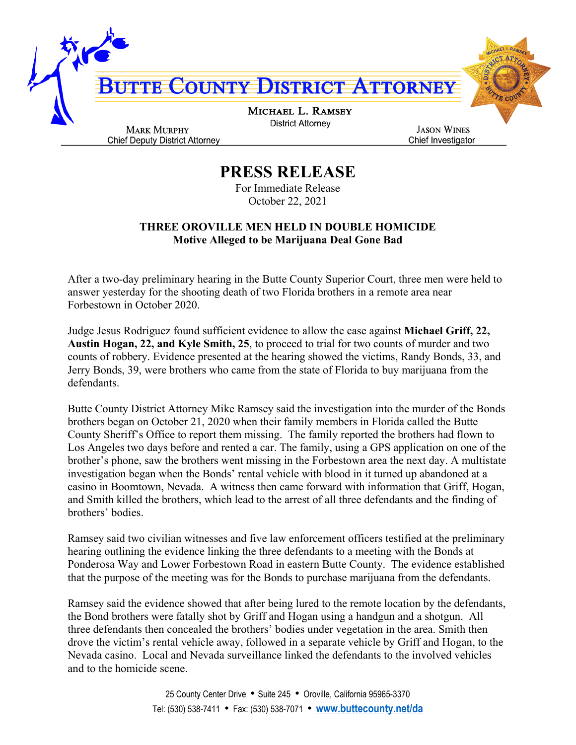

**PRESS RELEASE**

For Immediate Release October 22, 2021

## **THREE OROVILLE MEN HELD IN DOUBLE HOMICIDE Motive Alleged to be Marijuana Deal Gone Bad**

After a two-day preliminary hearing in the Butte County Superior Court, three men were held to answer yesterday for the shooting death of two Florida brothers in a remote area near Forbestown in October 2020.

Judge Jesus Rodriguez found sufficient evidence to allow the case against **Michael Griff, 22, Austin Hogan, 22, and Kyle Smith, 25**, to proceed to trial for two counts of murder and two counts of robbery. Evidence presented at the hearing showed the victims, Randy Bonds, 33, and Jerry Bonds, 39, were brothers who came from the state of Florida to buy marijuana from the defendants.

Butte County District Attorney Mike Ramsey said the investigation into the murder of the Bonds brothers began on October 21, 2020 when their family members in Florida called the Butte County Sheriff's Office to report them missing. The family reported the brothers had flown to Los Angeles two days before and rented a car. The family, using a GPS application on one of the brother's phone, saw the brothers went missing in the Forbestown area the next day. A multistate investigation began when the Bonds' rental vehicle with blood in it turned up abandoned at a casino in Boomtown, Nevada. A witness then came forward with information that Griff, Hogan, and Smith killed the brothers, which lead to the arrest of all three defendants and the finding of brothers' bodies.

Ramsey said two civilian witnesses and five law enforcement officers testified at the preliminary hearing outlining the evidence linking the three defendants to a meeting with the Bonds at Ponderosa Way and Lower Forbestown Road in eastern Butte County. The evidence established that the purpose of the meeting was for the Bonds to purchase marijuana from the defendants.

Ramsey said the evidence showed that after being lured to the remote location by the defendants, the Bond brothers were fatally shot by Griff and Hogan using a handgun and a shotgun. All three defendants then concealed the brothers' bodies under vegetation in the area. Smith then drove the victim's rental vehicle away, followed in a separate vehicle by Griff and Hogan, to the Nevada casino. Local and Nevada surveillance linked the defendants to the involved vehicles and to the homicide scene.

> 25 County Center Drive • Suite 245 • Oroville, California 95965-3370 Tel: (530) 538-7411 • Fax: (530) 538-7071 • **[www.buttecounty.net/da](http://www.buttecounty.net/da)**